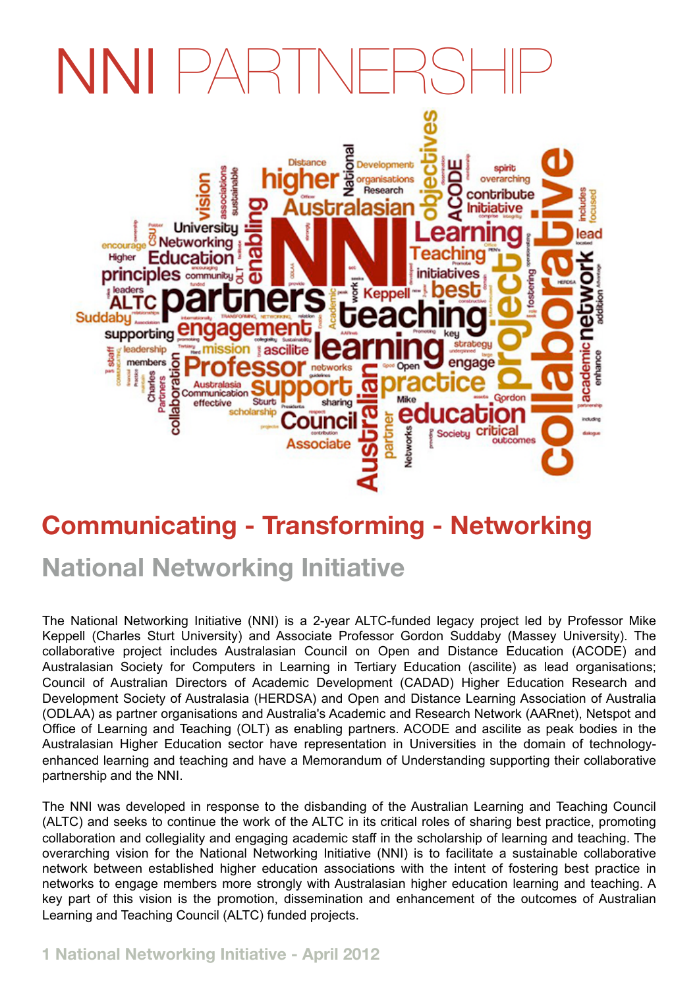## NNI PARTNERSHIPARTI



## **Communicating - Transforming - Networking National Networking Initiative**

The National Networking Initiative (NNI) is a 2-year ALTC-funded legacy project led by Professor Mike Keppell (Charles Sturt University) and Associate Professor Gordon Suddaby (Massey University). The collaborative project includes Australasian Council on Open and Distance Education (ACODE) and Australasian Society for Computers in Learning in Tertiary Education (ascilite) as lead organisations; Council of Australian Directors of Academic Development [\(CADAD\)](http://www.cadad.edu.au/) Higher Education Research and Development Society of Australasia [\(HERDSA\) a](http://www.herdsa.org.au/)nd Open and Distance Learning Association of Australia [\(ODLAA\)](http://www.odlaa.org/) as partner organisations and Australia's Academic and Research Network [\(AARnet\)](http://www.aarnet.edu.au/), [Netspot a](http://www.netspot.com.au/)nd Office of Learning and Teaching [\(OLT\)](http://www.olt.gov.au/) as enabling partners. ACODE and ascilite as peak bodies in the Australasian Higher Education sector have representation in Universities in the domain of technologyenhanced learning and teaching and have a Memorandum of Understanding supporting their collaborative partnership and the NNI.

The NNI was developed in response to the disbanding of the Australian Learning and Teaching Council (ALTC) and seeks to continue the work of the ALTC in its critical roles of sharing best practice, promoting collaboration and collegiality and engaging academic staff in the scholarship of learning and teaching. The overarching vision for the National Networking Initiative (NNI) is to facilitate a sustainable collaborative network between established higher education associations with the intent of fostering best practice in networks to engage members more strongly with Australasian higher education learning and teaching. A key part of this vision is the promotion, dissemination and enhancement of the outcomes of Australian Learning and Teaching Council (ALTC) funded projects.